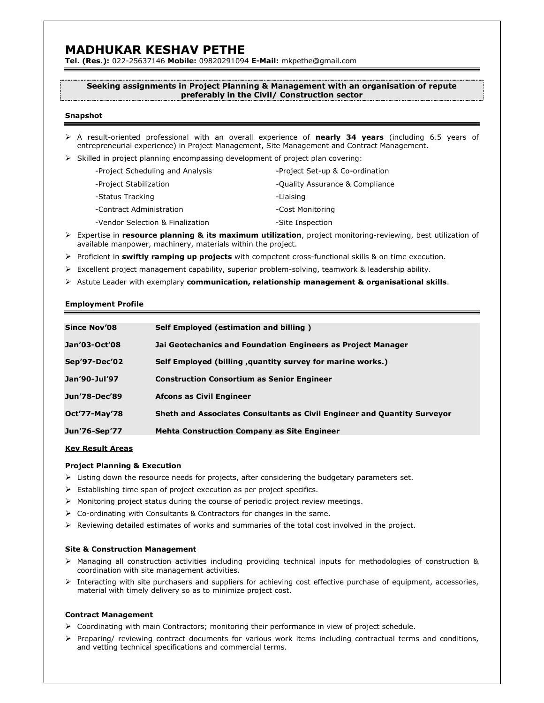# MADHUKAR KESHAV PETHE

Tel. (Res.): 022-25637146 Mobile: 09820291094 E-Mail: mkpethe@gmail.com

# Seeking assignments in Project Planning & Management with an organisation of repute preferably in the Civil/ Construction sector

# Snapshot

- $\triangleright$  A result-oriented professional with an overall experience of **nearly 34 years** (including 6.5 years of entrepreneurial experience) in Project Management, Site Management and Contract Management.
- $\triangleright$  Skilled in project planning encompassing development of project plan covering:

| -Project Scheduling and Analysis | -Project Set-up & Co-ordination |
|----------------------------------|---------------------------------|
| -Project Stabilization           | -Quality Assurance & Compliance |
| -Status Tracking                 | -Liaising                       |
| -Contract Administration         | -Cost Monitoring                |
| -Vendor Selection & Finalization | -Site Inspection                |

- Expertise in resource planning & its maximum utilization, project monitoring-reviewing, best utilization of available manpower, machinery, materials within the project.
- $\triangleright$  Proficient in swiftly ramping up projects with competent cross-functional skills & on time execution.
- $\triangleright$  Excellent project management capability, superior problem-solving, teamwork & leadership ability.
- $\triangleright$  Astute Leader with exemplary communication, relationship management & organisational skills.

## Employment Profile

| <b>Since Nov'08</b>  | Self Employed (estimation and billing)                                   |
|----------------------|--------------------------------------------------------------------------|
| Jan'03-Oct'08        | Jai Geotechanics and Foundation Engineers as Project Manager             |
| Sep'97-Dec'02        | Self Employed (billing , quantity survey for marine works.)              |
| Jan'90-Jul'97        | <b>Construction Consortium as Senior Engineer</b>                        |
| Jun'78-Dec'89        | Afcons as Civil Engineer                                                 |
| <b>Oct'77-May'78</b> | Sheth and Associates Consultants as Civil Engineer and Quantity Surveyor |
| Jun'76-Sep'77        | <b>Mehta Construction Company as Site Engineer</b>                       |

# Key Result Areas

#### Project Planning & Execution

- $\triangleright$  Listing down the resource needs for projects, after considering the budgetary parameters set.
- $\triangleright$  Establishing time span of project execution as per project specifics.
- $\triangleright$  Monitoring project status during the course of periodic project review meetings.
- $\triangleright$  Co-ordinating with Consultants & Contractors for changes in the same.
- $\triangleright$  Reviewing detailed estimates of works and summaries of the total cost involved in the project.

## Site & Construction Management

- Managing all construction activities including providing technical inputs for methodologies of construction & coordination with site management activities.
- $\triangleright$  Interacting with site purchasers and suppliers for achieving cost effective purchase of equipment, accessories, material with timely delivery so as to minimize project cost.

# Contract Management

- $\triangleright$  Coordinating with main Contractors; monitoring their performance in view of project schedule.
- $\triangleright$  Preparing/ reviewing contract documents for various work items including contractual terms and conditions, and vetting technical specifications and commercial terms.